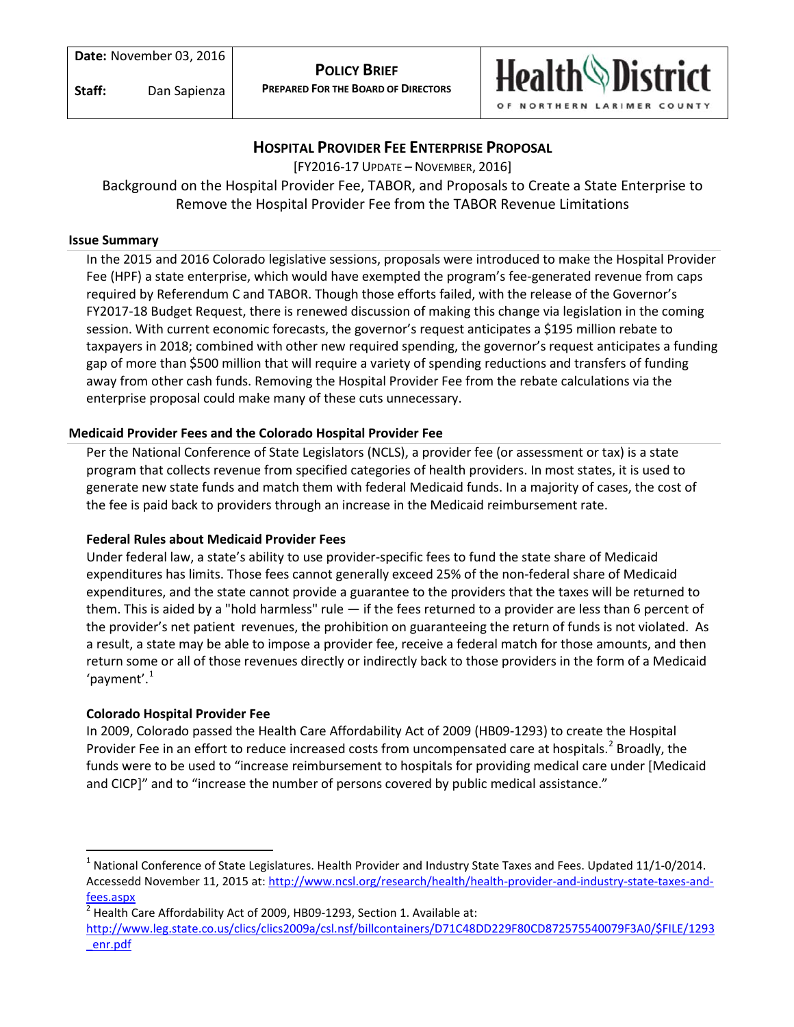**Staff:** Dan Sapienza



# **HOSPITAL PROVIDER FEE ENTERPRISE PROPOSAL**

[FY2016-17 UPDATE – NOVEMBER, 2016]

Background on the Hospital Provider Fee, TABOR, and Proposals to Create a State Enterprise to Remove the Hospital Provider Fee from the TABOR Revenue Limitations

#### **Issue Summary**

In the 2015 and 2016 Colorado legislative sessions, proposals were introduced to make the Hospital Provider Fee (HPF) a state enterprise, which would have exempted the program's fee-generated revenue from caps required by Referendum C and TABOR. Though those efforts failed, with the release of the Governor's FY2017-18 Budget Request, there is renewed discussion of making this change via legislation in the coming session. With current economic forecasts, the governor's request anticipates a \$195 million rebate to taxpayers in 2018; combined with other new required spending, the governor's request anticipates a funding gap of more than \$500 million that will require a variety of spending reductions and transfers of funding away from other cash funds. Removing the Hospital Provider Fee from the rebate calculations via the enterprise proposal could make many of these cuts unnecessary.

#### **Medicaid Provider Fees and the Colorado Hospital Provider Fee**

Per the National Conference of State Legislators (NCLS), a provider fee (or assessment or tax) is a state program that collects revenue from specified categories of health providers. In most states, it is used to generate new state funds and match them with federal Medicaid funds. In a majority of cases, the cost of the fee is paid back to providers through an increase in the Medicaid reimbursement rate.

#### **Federal Rules about Medicaid Provider Fees**

Under federal law, a state's ability to use provider-specific fees to fund the state share of Medicaid expenditures has limits. Those fees cannot generally exceed 25% of the non-federal share of Medicaid expenditures, and the state cannot provide a guarantee to the providers that the taxes will be returned to them. This is aided by a "hold harmless" rule — if the fees returned to a provider are less than 6 percent of the provider's net patient revenues, the prohibition on guaranteeing the return of funds is not violated. As a result, a state may be able to impose a provider fee, receive a federal match for those amounts, and then return some or all of those revenues directly or indirectly back to those providers in the form of a Medicaid 'payment'. $1$ 

#### **Colorado Hospital Provider Fee**

In 2009, Colorado passed the Health Care Affordability Act of 2009 (HB09-1293) to create the Hospital Provider Fee in an effort to reduce increased costs from uncompensated care at hospitals.<sup>[2](#page-0-1)</sup> Broadly, the funds were to be used to "increase reimbursement to hospitals for providing medical care under [Medicaid and CICP]" and to "increase the number of persons covered by public medical assistance."

<span id="page-0-0"></span><sup>&</sup>lt;sup>1</sup> National Conference of State Legislatures. Health Provider and Industry State Taxes and Fees. Updated 11/1-0/2014. Accessedd November 11, 2015 at: [http://www.ncsl.org/research/health/health-provider-and-industry-state-taxes-and](http://www.ncsl.org/research/health/health-provider-and-industry-state-taxes-and-fees.aspx)[fees.aspx](http://www.ncsl.org/research/health/health-provider-and-industry-state-taxes-and-fees.aspx)

<span id="page-0-1"></span>Health Care Affordability Act of 2009, HB09-1293, Section 1. Available at:

[http://www.leg.state.co.us/clics/clics2009a/csl.nsf/billcontainers/D71C48DD229F80CD872575540079F3A0/\\$FILE/1293](http://www.leg.state.co.us/clics/clics2009a/csl.nsf/billcontainers/D71C48DD229F80CD872575540079F3A0/$FILE/1293_enr.pdf) [\\_enr.pdf](http://www.leg.state.co.us/clics/clics2009a/csl.nsf/billcontainers/D71C48DD229F80CD872575540079F3A0/$FILE/1293_enr.pdf)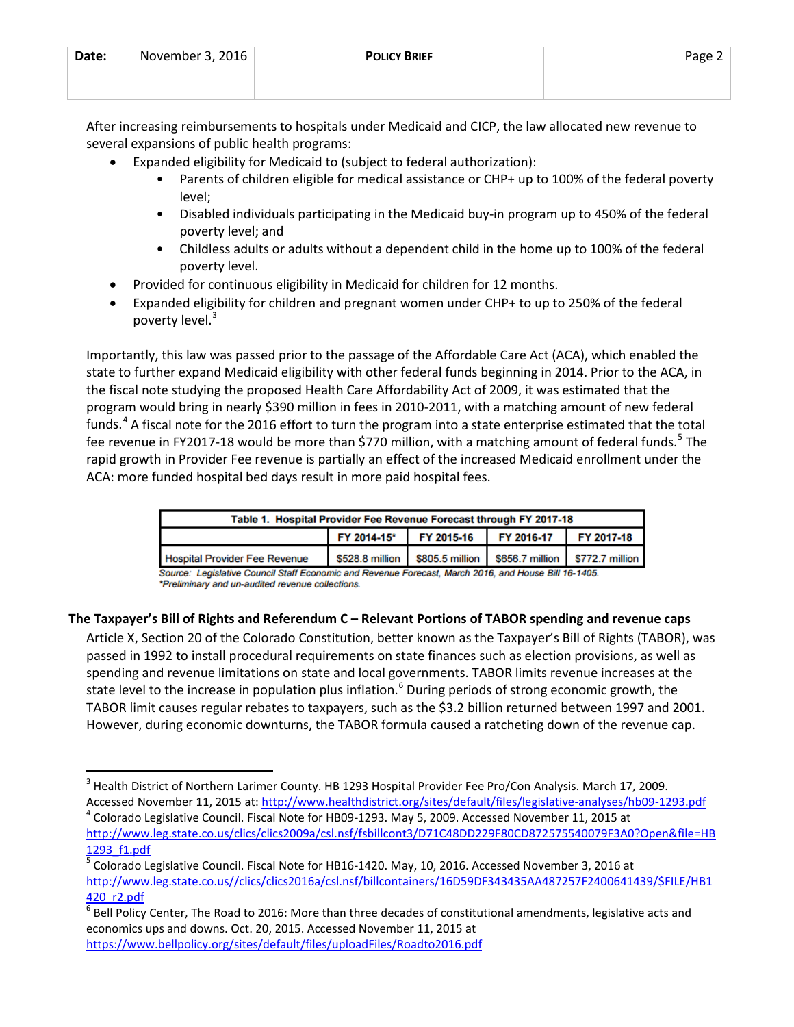| Date: | November 3, 2016 | <b>POLICY BRIEF</b> | Page 2 |
|-------|------------------|---------------------|--------|
|       |                  |                     |        |

After increasing reimbursements to hospitals under Medicaid and CICP, the law allocated new revenue to several expansions of public health programs:

- Expanded eligibility for Medicaid to (subject to federal authorization):
	- Parents of children eligible for medical assistance or CHP+ up to 100% of the federal poverty level;
	- Disabled individuals participating in the Medicaid buy-in program up to 450% of the federal poverty level; and
	- Childless adults or adults without a dependent child in the home up to 100% of the federal poverty level.
- Provided for continuous eligibility in Medicaid for children for 12 months.
- Expanded eligibility for children and pregnant women under CHP+ to up to 250% of the federal poverty level.<sup>[3](#page-1-0)</sup>

Importantly, this law was passed prior to the passage of the Affordable Care Act (ACA), which enabled the state to further expand Medicaid eligibility with other federal funds beginning in 2014. Prior to the ACA, in the fiscal note studying the proposed Health Care Affordability Act of 2009, it was estimated that the program would bring in nearly \$390 million in fees in 2010-2011, with a matching amount of new federal funds.<sup>[4](#page-1-1)</sup> A fiscal note for the 2016 effort to turn the program into a state enterprise estimated that the total fee revenue in FY2017-18 would be more than \$770 million, with a matching amount of federal funds.<sup>[5](#page-1-2)</sup> The rapid growth in Provider Fee revenue is partially an effect of the increased Medicaid enrollment under the ACA: more funded hospital bed days result in more paid hospital fees.

| Table 1. Hospital Provider Fee Revenue Forecast through FY 2017-18 |                                                                 |                                              |  |  |
|--------------------------------------------------------------------|-----------------------------------------------------------------|----------------------------------------------|--|--|
|                                                                    |                                                                 | FY 2014-15* FY 2015-16 FY 2016-17 FY 2017-18 |  |  |
| <b>Hospital Provider Fee Revenue</b>                               | \$528.8 million \$805.5 million \$656.7 million \$772.7 million |                                              |  |  |

Source: Legislative Council Staff Economic and Revenue Forecast, March 2016, and House Bill 16-1405. \*Preliminary and un-audited revenue collections.

# **The Taxpayer's Bill of Rights and Referendum C – Relevant Portions of TABOR spending and revenue caps**

Article X, Section 20 of the Colorado Constitution, better known as the Taxpayer's Bill of Rights (TABOR), was passed in 1992 to install procedural requirements on state finances such as election provisions, as well as spending and revenue limitations on state and local governments. TABOR limits revenue increases at the state level to the increase in population plus inflation.<sup>[6](#page-1-3)</sup> During periods of strong economic growth, the TABOR limit causes regular rebates to taxpayers, such as the \$3.2 billion returned between 1997 and 2001. However, during economic downturns, the TABOR formula caused a ratcheting down of the revenue cap.

<span id="page-1-0"></span><sup>&</sup>lt;sup>3</sup> Health District of Northern Larimer County. HB 1293 Hospital Provider Fee Pro/Con Analysis. March 17, 2009. Accessed November 11, 2015 at:<http://www.healthdistrict.org/sites/default/files/legislative-analyses/hb09-1293.pdf> 4<br><sup>4</sup> Colorado Legislative Council. Fiscal Note for HB09-1293. May 5, 2009. Accessed November 11, 2015 at

<span id="page-1-1"></span>[http://www.leg.state.co.us/clics/clics2009a/csl.nsf/fsbillcont3/D71C48DD229F80CD872575540079F3A0?Open&file=HB](http://www.leg.state.co.us/clics/clics2009a/csl.nsf/fsbillcont3/D71C48DD229F80CD872575540079F3A0?Open&file=HB1293_f1.pdf) [1293\\_f1.pdf](http://www.leg.state.co.us/clics/clics2009a/csl.nsf/fsbillcont3/D71C48DD229F80CD872575540079F3A0?Open&file=HB1293_f1.pdf)

<span id="page-1-2"></span> $^5$  Colorado Legislative Council. Fiscal Note for HB16-1420. May, 10, 2016. Accessed November 3, 2016 at [http://www.leg.state.co.us//clics/clics2016a/csl.nsf/billcontainers/16D59DF343435AA487257F2400641439/\\$FILE/HB1](http://www.leg.state.co.us/clics/clics2016a/csl.nsf/billcontainers/16D59DF343435AA487257F2400641439/$FILE/HB1420_r2.pdf)

<span id="page-1-3"></span><sup>420</sup>\_r2.pdf<br><sup>6</sup> Bell Policy Center, The Road to 2016: More than three decades of constitutional amendments, legislative acts and economics ups and downs. Oct. 20, 2015. Accessed November 11, 2015 at <https://www.bellpolicy.org/sites/default/files/uploadFiles/Roadto2016.pdf>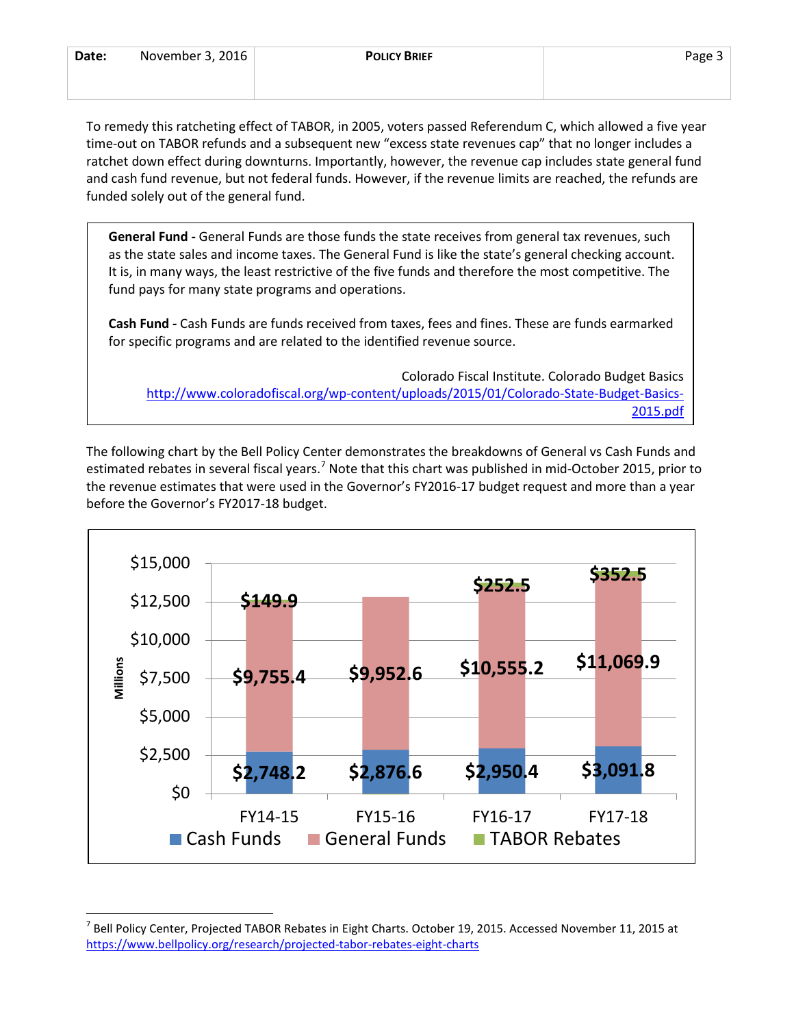| Date: | November 3, 2016 | <b>POLICY BRIEF</b> | Page - |
|-------|------------------|---------------------|--------|
|       |                  |                     |        |

To remedy this ratcheting effect of TABOR, in 2005, voters passed Referendum C, which allowed a five year time-out on TABOR refunds and a subsequent new "excess state revenues cap" that no longer includes a ratchet down effect during downturns. Importantly, however, the revenue cap includes state general fund and cash fund revenue, but not federal funds. However, if the revenue limits are reached, the refunds are funded solely out of the general fund.

**General Fund -** General Funds are those funds the state receives from general tax revenues, such as the state sales and income taxes. The General Fund is like the state's general checking account. It is, in many ways, the least restrictive of the five funds and therefore the most competitive. The fund pays for many state programs and operations.

**Cash Fund -** Cash Funds are funds received from taxes, fees and fines. These are funds earmarked for specific programs and are related to the identified revenue source.

Colorado Fiscal Institute. Colorado Budget Basics [http://www.coloradofiscal.org/wp-content/uploads/2015/01/Colorado-State-Budget-Basics-](http://www.coloradofiscal.org/wp-content/uploads/2015/01/Colorado-State-Budget-Basics-2015.pdf)[2015.pdf](http://www.coloradofiscal.org/wp-content/uploads/2015/01/Colorado-State-Budget-Basics-2015.pdf)

The following chart by the Bell Policy Center demonstrates the breakdowns of General vs Cash Funds and estimated rebates in several fiscal years.<sup>[7](#page-2-0)</sup> Note that this chart was published in mid-October 2015, prior to the revenue estimates that were used in the Governor's FY2016-17 budget request and more than a year before the Governor's FY2017-18 budget.



<span id="page-2-0"></span> $^7$  Bell Policy Center, Projected TABOR Rebates in Eight Charts. October 19, 2015. Accessed November 11, 2015 at <https://www.bellpolicy.org/research/projected-tabor-rebates-eight-charts>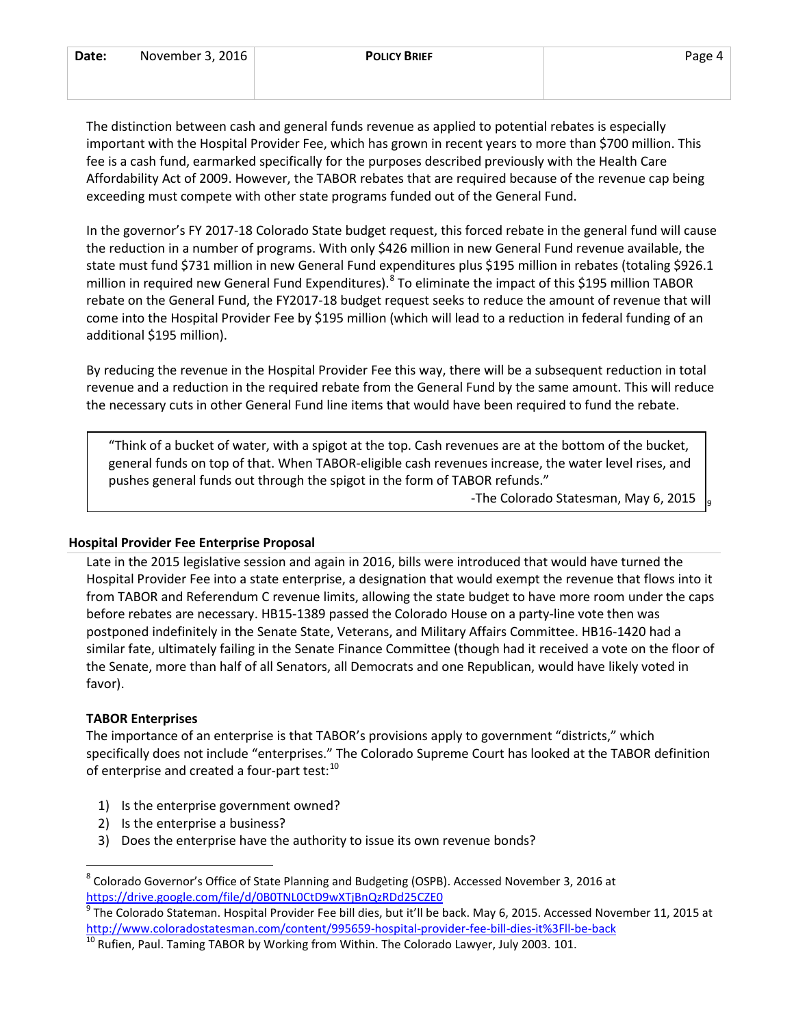| Date: | November 3, 2016 | <b>POLICY BRIEF</b> | Page 4 |
|-------|------------------|---------------------|--------|
|       |                  |                     |        |

The distinction between cash and general funds revenue as applied to potential rebates is especially important with the Hospital Provider Fee, which has grown in recent years to more than \$700 million. This fee is a cash fund, earmarked specifically for the purposes described previously with the Health Care Affordability Act of 2009. However, the TABOR rebates that are required because of the revenue cap being exceeding must compete with other state programs funded out of the General Fund.

In the governor's FY 2017-18 Colorado State budget request, this forced rebate in the general fund will cause the reduction in a number of programs. With only \$426 million in new General Fund revenue available, the state must fund \$731 million in new General Fund expenditures plus \$195 million in rebates (totaling \$926.1 million in required new General Fund Expenditures). <sup>[8](#page-3-0)</sup> To eliminate the impact of this \$195 million TABOR rebate on the General Fund, the FY2017-18 budget request seeks to reduce the amount of revenue that will come into the Hospital Provider Fee by \$195 million (which will lead to a reduction in federal funding of an additional \$195 million).

By reducing the revenue in the Hospital Provider Fee this way, there will be a subsequent reduction in total revenue and a reduction in the required rebate from the General Fund by the same amount. This will reduce the necessary cuts in other General Fund line items that would have been required to fund the rebate.

"Think of a bucket of water, with a spigot at the top. Cash revenues are at the bottom of the bucket, general funds on top of that. When TABOR-eligible cash revenues increase, the water level rises, and pushes general funds out through the spigot in the form of TABOR refunds."

-The Colorado Statesman, May 6, 2015

[9](#page-3-1)

#### **Hospital Provider Fee Enterprise Proposal**

Late in the 2015 legislative session and again in 2016, bills were introduced that would have turned the Hospital Provider Fee into a state enterprise, a designation that would exempt the revenue that flows into it from TABOR and Referendum C revenue limits, allowing the state budget to have more room under the caps before rebates are necessary. HB15-1389 passed the Colorado House on a party-line vote then was postponed indefinitely in the Senate State, Veterans, and Military Affairs Committee. HB16-1420 had a similar fate, ultimately failing in the Senate Finance Committee (though had it received a vote on the floor of the Senate, more than half of all Senators, all Democrats and one Republican, would have likely voted in favor).

#### **TABOR Enterprises**

The importance of an enterprise is that TABOR's provisions apply to government "districts," which specifically does not include "enterprises." The Colorado Supreme Court has looked at the TABOR definition of enterprise and created a four-part test:<sup>[10](#page-3-2)</sup>

- 1) Is the enterprise government owned?
- 2) Is the enterprise a business?
- 3) Does the enterprise have the authority to issue its own revenue bonds?

<span id="page-3-0"></span> <sup>8</sup> Colorado Governor's Office of State Planning and Budgeting (OSPB). Accessed November 3, 2016 at <https://drive.google.com/file/d/0B0TNL0CtD9wXTjBnQzRDd25CZE0>

<span id="page-3-1"></span><sup>9</sup> The Colorado Stateman. Hospital Provider Fee bill dies, but it'll be back. May 6, 2015. Accessed November 11, 2015 at <http://www.coloradostatesman.com/content/995659-hospital-provider-fee-bill-dies-it%3Fll-be-back> <sup>10</sup> Rufien, Paul. Taming TABOR by Working from Within. The Colorado Lawyer, July 2003. 101.

<span id="page-3-2"></span>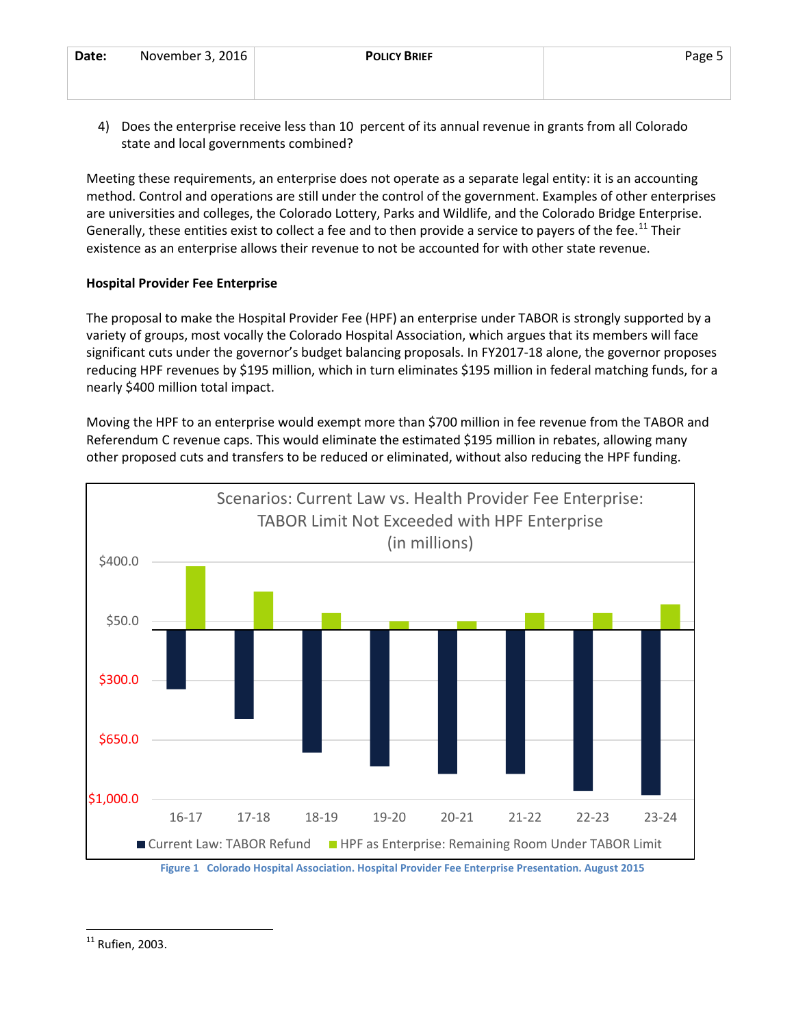4) Does the enterprise receive less than 10 percent of its annual revenue in grants from all Colorado state and local governments combined?

Meeting these requirements, an enterprise does not operate as a separate legal entity: it is an accounting method. Control and operations are still under the control of the government. Examples of other enterprises are universities and colleges, the Colorado Lottery, Parks and Wildlife, and the Colorado Bridge Enterprise. Generally, these entities exist to collect a fee and to then provide a service to payers of the fee.<sup>[11](#page-4-0)</sup> Their existence as an enterprise allows their revenue to not be accounted for with other state revenue.

### **Hospital Provider Fee Enterprise**

The proposal to make the Hospital Provider Fee (HPF) an enterprise under TABOR is strongly supported by a variety of groups, most vocally the Colorado Hospital Association, which argues that its members will face significant cuts under the governor's budget balancing proposals. In FY2017-18 alone, the governor proposes reducing HPF revenues by \$195 million, which in turn eliminates \$195 million in federal matching funds, for a nearly \$400 million total impact.

Moving the HPF to an enterprise would exempt more than \$700 million in fee revenue from the TABOR and Referendum C revenue caps. This would eliminate the estimated \$195 million in rebates, allowing many other proposed cuts and transfers to be reduced or eliminated, without also reducing the HPF funding.



<span id="page-4-0"></span> $11$  Rufien, 2003.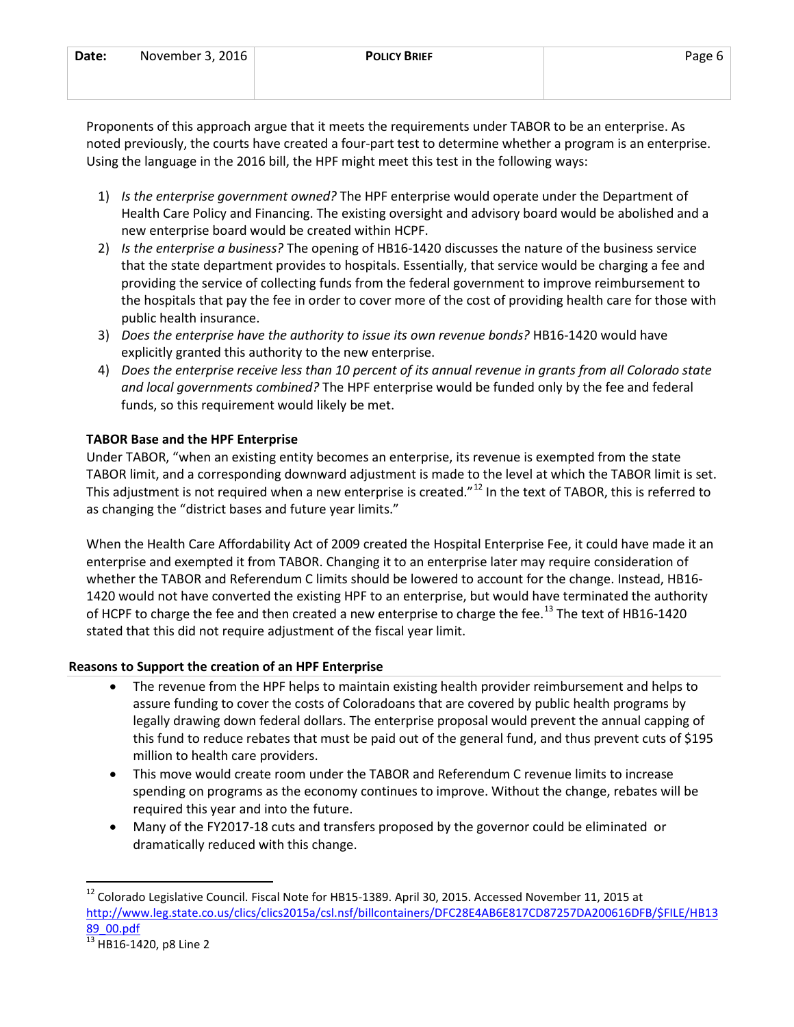| Date: | November 3, 2016 | <b>POLICY BRIEF</b> | Page 6 |
|-------|------------------|---------------------|--------|
|       |                  |                     |        |
|       |                  |                     |        |

Proponents of this approach argue that it meets the requirements under TABOR to be an enterprise. As noted previously, the courts have created a four-part test to determine whether a program is an enterprise. Using the language in the 2016 bill, the HPF might meet this test in the following ways:

- 1) *Is the enterprise government owned?* The HPF enterprise would operate under the Department of Health Care Policy and Financing. The existing oversight and advisory board would be abolished and a new enterprise board would be created within HCPF.
- 2) *Is the enterprise a business?* The opening of HB16-1420 discusses the nature of the business service that the state department provides to hospitals. Essentially, that service would be charging a fee and providing the service of collecting funds from the federal government to improve reimbursement to the hospitals that pay the fee in order to cover more of the cost of providing health care for those with public health insurance.
- 3) *Does the enterprise have the authority to issue its own revenue bonds?* HB16-1420 would have explicitly granted this authority to the new enterprise.
- 4) *Does the enterprise receive less than 10 percent of its annual revenue in grants from all Colorado state and local governments combined?* The HPF enterprise would be funded only by the fee and federal funds, so this requirement would likely be met.

# **TABOR Base and the HPF Enterprise**

Under TABOR, "when an existing entity becomes an enterprise, its revenue is exempted from the state TABOR limit, and a corresponding downward adjustment is made to the level at which the TABOR limit is set. This adjustment is not required when a new enterprise is created."<sup>[12](#page-5-0)</sup> In the text of TABOR, this is referred to as changing the "district bases and future year limits."

When the Health Care Affordability Act of 2009 created the Hospital Enterprise Fee, it could have made it an enterprise and exempted it from TABOR. Changing it to an enterprise later may require consideration of whether the TABOR and Referendum C limits should be lowered to account for the change. Instead, HB16- 1420 would not have converted the existing HPF to an enterprise, but would have terminated the authority of HCPF to charge the fee and then created a new enterprise to charge the fee.<sup>[13](#page-5-1)</sup> The text of HB16-1420 stated that this did not require adjustment of the fiscal year limit.

# **Reasons to Support the creation of an HPF Enterprise**

- The revenue from the HPF helps to maintain existing health provider reimbursement and helps to assure funding to cover the costs of Coloradoans that are covered by public health programs by legally drawing down federal dollars. The enterprise proposal would prevent the annual capping of this fund to reduce rebates that must be paid out of the general fund, and thus prevent cuts of \$195 million to health care providers.
- This move would create room under the TABOR and Referendum C revenue limits to increase spending on programs as the economy continues to improve. Without the change, rebates will be required this year and into the future.
- Many of the FY2017-18 cuts and transfers proposed by the governor could be eliminated or dramatically reduced with this change.

<span id="page-5-0"></span><sup>&</sup>lt;sup>12</sup> Colorado Legislative Council. Fiscal Note for HB15-1389. April 30, 2015. Accessed November 11, 2015 at [http://www.leg.state.co.us/clics/clics2015a/csl.nsf/billcontainers/DFC28E4AB6E817CD87257DA200616DFB/\\$FILE/HB13](http://www.leg.state.co.us/clics/clics2015a/csl.nsf/billcontainers/DFC28E4AB6E817CD87257DA200616DFB/$FILE/HB1389_00.pdf) [89\\_00.pdf](http://www.leg.state.co.us/clics/clics2015a/csl.nsf/billcontainers/DFC28E4AB6E817CD87257DA200616DFB/$FILE/HB1389_00.pdf)

<span id="page-5-1"></span><sup>&</sup>lt;sup>13</sup> HB16-1420, p8 Line 2